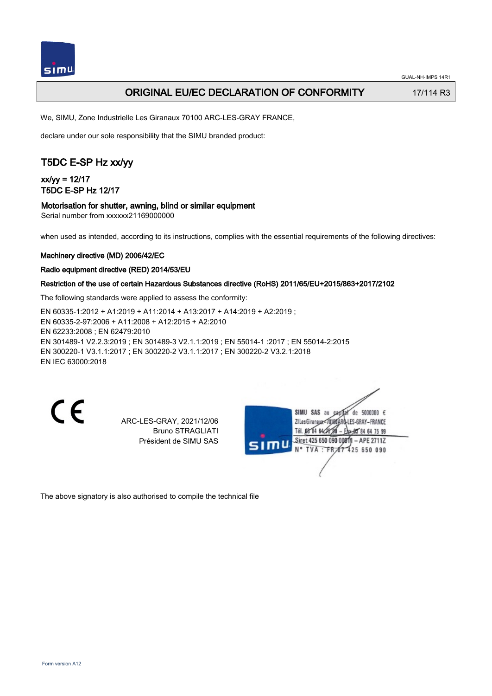

## ORIGINAL EU/EC DECLARATION OF CONFORMITY 17/114 R3

We, SIMU, Zone Industrielle Les Giranaux 70100 ARC-LES-GRAY FRANCE,

declare under our sole responsibility that the SIMU branded product:

## T5DC E-SP Hz xx/yy

## $xx/yy = 12/17$ T5DC E-SP Hz 12/17

### Motorisation for shutter, awning, blind or similar equipment

Serial number from xxxxxx21169000000

when used as intended, according to its instructions, complies with the essential requirements of the following directives:

### Machinery directive (MD) 2006/42/EC

### Radio equipment directive (RED) 2014/53/EU

### Restriction of the use of certain Hazardous Substances directive (RoHS) 2011/65/EU+2015/863+2017/2102

The following standards were applied to assess the conformity:

EN 60335‑1:2012 + A1:2019 + A11:2014 + A13:2017 + A14:2019 + A2:2019 ; EN 60335‑2‑97:2006 + A11:2008 + A12:2015 + A2:2010 EN 62233:2008 ; EN 62479:2010 EN 301489‑1 V2.2.3:2019 ; EN 301489‑3 V2.1.1:2019 ; EN 55014‑1 :2017 ; EN 55014‑2:2015 EN 300220‑1 V3.1.1:2017 ; EN 300220‑2 V3.1.1:2017 ; EN 300220‑2 V3.2.1:2018 EN IEC 63000:2018

CE

ARC-LES-GRAY, 2021/12/06 Bruno STRAGLIATI Président de SIMU SAS



The above signatory is also authorised to compile the technical file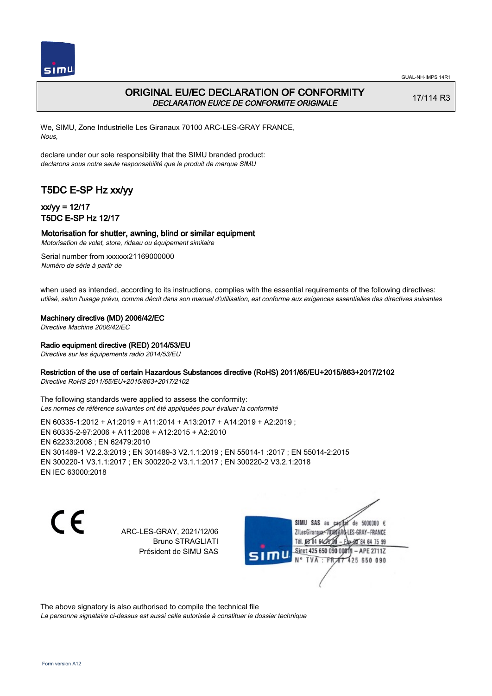

## ORIGINAL EU/EC DECLARATION OF CONFORMITY DECLARATION EU/CE DE CONFORMITE ORIGINALE

17/114 R3

We, SIMU, Zone Industrielle Les Giranaux 70100 ARC-LES-GRAY FRANCE, Nous,

declare under our sole responsibility that the SIMU branded product: declarons sous notre seule responsabilité que le produit de marque SIMU

## T5DC E-SP Hz xx/yy

### xx/yy = 12/17 T5DC E-SP Hz 12/17

### Motorisation for shutter, awning, blind or similar equipment

Motorisation de volet, store, rideau ou équipement similaire

Serial number from xxxxxx21169000000 Numéro de série à partir de

when used as intended, according to its instructions, complies with the essential requirements of the following directives: utilisé, selon l'usage prévu, comme décrit dans son manuel d'utilisation, est conforme aux exigences essentielles des directives suivantes

Machinery directive (MD) 2006/42/EC

Directive Machine 2006/42/EC

Radio equipment directive (RED) 2014/53/EU

Directive sur les équipements radio 2014/53/EU

### Restriction of the use of certain Hazardous Substances directive (RoHS) 2011/65/EU+2015/863+2017/2102

Directive RoHS 2011/65/EU+2015/863+2017/2102

The following standards were applied to assess the conformity: Les normes de référence suivantes ont été appliquées pour évaluer la conformité

EN 60335‑1:2012 + A1:2019 + A11:2014 + A13:2017 + A14:2019 + A2:2019 ; EN 60335‑2‑97:2006 + A11:2008 + A12:2015 + A2:2010 EN 62233:2008 ; EN 62479:2010 EN 301489‑1 V2.2.3:2019 ; EN 301489‑3 V2.1.1:2019 ; EN 55014‑1 :2017 ; EN 55014‑2:2015 EN 300220‑1 V3.1.1:2017 ; EN 300220‑2 V3.1.1:2017 ; EN 300220‑2 V3.2.1:2018 EN IEC 63000:2018

C F

ARC-LES-GRAY, 2021/12/06 Bruno STRAGLIATI Président de SIMU SAS

de 5000000  $\epsilon$ SIMU SAS au ZI Les Giranaux< ES-GRAY-FRANCE Tél. 08 84 64 2 64 75 99 Siret 425 650 090 00811  $-$  APF 27117 125 650 090

The above signatory is also authorised to compile the technical file

La personne signataire ci-dessus est aussi celle autorisée à constituer le dossier technique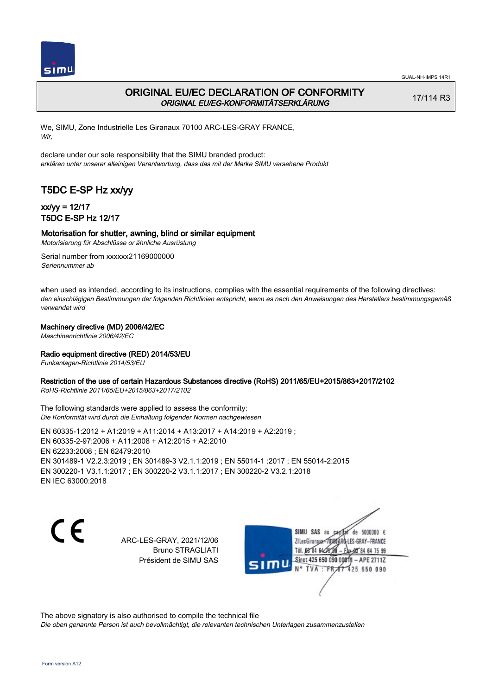

## ORIGINAL EU/EC DECLARATION OF CONFORMITY ORIGINAL EU/EG-KONFORMITÄTSERKLÄRUNG

17/114 R3

We, SIMU, Zone Industrielle Les Giranaux 70100 ARC-LES-GRAY FRANCE, Wir,

declare under our sole responsibility that the SIMU branded product: erklären unter unserer alleinigen Verantwortung, dass das mit der Marke SIMU versehene Produkt

# T5DC E-SP Hz xx/yy

## xx/yy = 12/17 T5DC E-SP Hz 12/17

### Motorisation for shutter, awning, blind or similar equipment

Motorisierung für Abschlüsse or ähnliche Ausrüstung

Serial number from xxxxxx21169000000 Seriennummer ab

when used as intended, according to its instructions, complies with the essential requirements of the following directives: den einschlägigen Bestimmungen der folgenden Richtlinien entspricht, wenn es nach den Anweisungen des Herstellers bestimmungsgemäß verwendet wird

### Machinery directive (MD) 2006/42/EC

Maschinenrichtlinie 2006/42/EC

### Radio equipment directive (RED) 2014/53/EU

Funkanlagen-Richtlinie 2014/53/EU

### Restriction of the use of certain Hazardous Substances directive (RoHS) 2011/65/EU+2015/863+2017/2102

RoHS-Richtlinie 2011/65/EU+2015/863+2017/2102

The following standards were applied to assess the conformity: Die Konformität wird durch die Einhaltung folgender Normen nachgewiesen

EN 60335‑1:2012 + A1:2019 + A11:2014 + A13:2017 + A14:2019 + A2:2019 ; EN 60335‑2‑97:2006 + A11:2008 + A12:2015 + A2:2010 EN 62233:2008 ; EN 62479:2010 EN 301489‑1 V2.2.3:2019 ; EN 301489‑3 V2.1.1:2019 ; EN 55014‑1 :2017 ; EN 55014‑2:2015 EN 300220‑1 V3.1.1:2017 ; EN 300220‑2 V3.1.1:2017 ; EN 300220‑2 V3.2.1:2018 EN IEC 63000:2018

 $\epsilon$ 

ARC-LES-GRAY, 2021/12/06 Bruno STRAGLIATI Président de SIMU SAS

de 5000000  $\epsilon$ SIMU SAS au ZI Les Giranauxe LES-GRAY-FRANCE Tél. 08 84 64 24 95 84 64 75 99 Siret 425 650 090 00811 - APE 2711Z TVA: FR 67 425 650 090

The above signatory is also authorised to compile the technical file

Die oben genannte Person ist auch bevollmächtigt, die relevanten technischen Unterlagen zusammenzustellen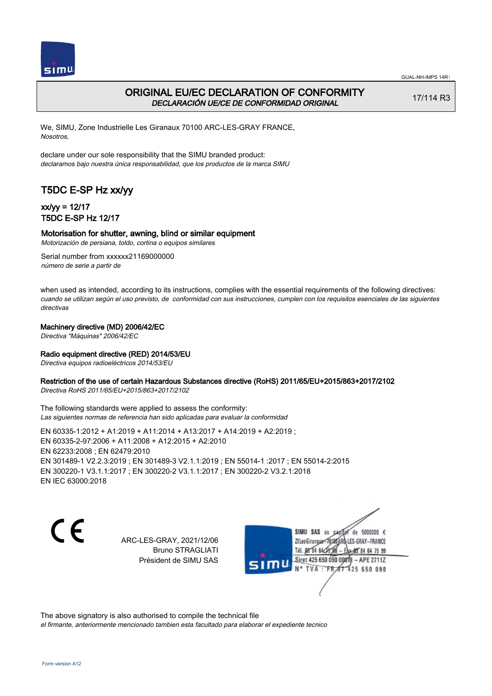

### ORIGINAL EU/EC DECLARATION OF CONFORMITY DECLARACIÓN UE/CE DE CONFORMIDAD ORIGINAL

17/114 R3

We, SIMU, Zone Industrielle Les Giranaux 70100 ARC-LES-GRAY FRANCE, Nosotros,

declare under our sole responsibility that the SIMU branded product: declaramos bajo nuestra única responsabilidad, que los productos de la marca SIMU

## T5DC E-SP Hz xx/yy

### xx/yy = 12/17 T5DC E-SP Hz 12/17

### Motorisation for shutter, awning, blind or similar equipment

Motorización de persiana, toldo, cortina o equipos similares

Serial number from xxxxxx21169000000 número de serie a partir de

when used as intended, according to its instructions, complies with the essential requirements of the following directives: cuando se utilizan según el uso previsto, de conformidad con sus instrucciones, cumplen con los requisitos esenciales de las siguientes directivas

#### Machinery directive (MD) 2006/42/EC

Directiva "Máquinas" 2006/42/EC

#### Radio equipment directive (RED) 2014/53/EU

Directiva equipos radioeléctricos 2014/53/EU

#### Restriction of the use of certain Hazardous Substances directive (RoHS) 2011/65/EU+2015/863+2017/2102

Directiva RoHS 2011/65/EU+2015/863+2017/2102

The following standards were applied to assess the conformity: Las siguientes normas de referencia han sido aplicadas para evaluar la conformidad

EN 60335‑1:2012 + A1:2019 + A11:2014 + A13:2017 + A14:2019 + A2:2019 ; EN 60335‑2‑97:2006 + A11:2008 + A12:2015 + A2:2010 EN 62233:2008 ; EN 62479:2010 EN 301489‑1 V2.2.3:2019 ; EN 301489‑3 V2.1.1:2019 ; EN 55014‑1 :2017 ; EN 55014‑2:2015 EN 300220‑1 V3.1.1:2017 ; EN 300220‑2 V3.1.1:2017 ; EN 300220‑2 V3.2.1:2018 EN IEC 63000:2018

 $\epsilon$ 

ARC-LES-GRAY, 2021/12/06 Bruno STRAGLIATI Président de SIMU SAS

de 5000000  $\epsilon$ SIMU SAS au ZI Les Giranaux< LES-GRAY-FRANCE Tél. 08 84 64 24 95 84 64 75 99 Siret 425 650 090 00811 - APE 2711Z TVA: FR 67 425 650 090

The above signatory is also authorised to compile the technical file el firmante, anteriormente mencionado tambien esta facultado para elaborar el expediente tecnico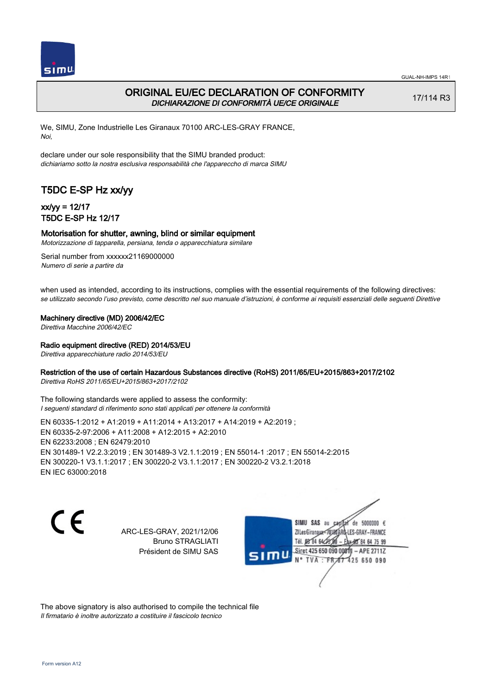

## ORIGINAL EU/EC DECLARATION OF CONFORMITY DICHIARAZIONE DI CONFORMITÀ UE/CE ORIGINALE

17/114 R3

We, SIMU, Zone Industrielle Les Giranaux 70100 ARC-LES-GRAY FRANCE, Noi,

declare under our sole responsibility that the SIMU branded product: dichiariamo sotto la nostra esclusiva responsabilità che l'appareccho di marca SIMU

# T5DC E-SP Hz xx/yy

## xx/yy = 12/17 T5DC E-SP Hz 12/17

### Motorisation for shutter, awning, blind or similar equipment

Motorizzazione di tapparella, persiana, tenda o apparecchiatura similare

Serial number from xxxxxx21169000000 Numero di serie a partire da

when used as intended, according to its instructions, complies with the essential requirements of the following directives: se utilizzato secondo l'uso previsto, come descritto nel suo manuale d'istruzioni, è conforme ai requisiti essenziali delle seguenti Direttive

Machinery directive (MD) 2006/42/EC

Direttiva Macchine 2006/42/EC

#### Radio equipment directive (RED) 2014/53/EU

Direttiva apparecchiature radio 2014/53/EU

### Restriction of the use of certain Hazardous Substances directive (RoHS) 2011/65/EU+2015/863+2017/2102

Direttiva RoHS 2011/65/EU+2015/863+2017/2102

The following standards were applied to assess the conformity: I seguenti standard di riferimento sono stati applicati per ottenere la conformità

EN 60335‑1:2012 + A1:2019 + A11:2014 + A13:2017 + A14:2019 + A2:2019 ; EN 60335‑2‑97:2006 + A11:2008 + A12:2015 + A2:2010 EN 62233:2008 ; EN 62479:2010 EN 301489‑1 V2.2.3:2019 ; EN 301489‑3 V2.1.1:2019 ; EN 55014‑1 :2017 ; EN 55014‑2:2015 EN 300220‑1 V3.1.1:2017 ; EN 300220‑2 V3.1.1:2017 ; EN 300220‑2 V3.2.1:2018 EN IEC 63000:2018

C F

ARC-LES-GRAY, 2021/12/06 Bruno STRAGLIATI Président de SIMU SAS

de 5000000  $\epsilon$ SIMU SAS au ZI Les Giranaux< ES-GRAY-FRANCE Tél. 08 84 64 2 64 75 99 Siret 425 650 090 00811  $-$  APF 27117 **TVA · FR** 125 650 090

The above signatory is also authorised to compile the technical file Il firmatario è inoltre autorizzato a costituire il fascicolo tecnico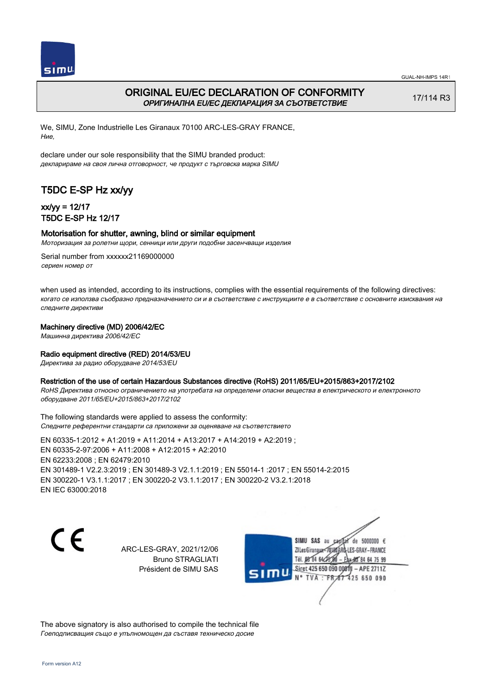

## ORIGINAL EU/EC DECLARATION OF CONFORMITY ОРИГИНАЛНА EU/EC ДЕКЛАРАЦИЯ ЗА СЪОТВЕТСТВИЕ

17/114 R3

We, SIMU, Zone Industrielle Les Giranaux 70100 ARC-LES-GRAY FRANCE, Ние,

declare under our sole responsibility that the SIMU branded product: декларираме на своя лична отговорност, че продукт с търговска марка SIMU

# T5DC E-SP Hz xx/yy

## xx/yy = 12/17 T5DC E-SP Hz 12/17

#### Motorisation for shutter, awning, blind or similar equipment

Моторизация за ролетни щори, сенници или други подобни засенчващи изделия

Serial number from xxxxxx21169000000 сериен номер от

when used as intended, according to its instructions, complies with the essential requirements of the following directives: когато се използва съобразно предназначението си и в съответствие с инструкциите е в съответствие с основните изисквания на следните директиви

### Machinery directive (MD) 2006/42/EC

Машинна директива 2006/42/EC

### Radio equipment directive (RED) 2014/53/EU

Директива за радио оборудване 2014/53/EU

#### Restriction of the use of certain Hazardous Substances directive (RoHS) 2011/65/EU+2015/863+2017/2102

RoHS Директива относно ограничението на употребата на определени опасни вещества в електрическото и електронното оборудване 2011/65/EU+2015/863+2017/2102

The following standards were applied to assess the conformity: Следните референтни стандарти са приложени за оценяване на съответствието

EN 60335‑1:2012 + A1:2019 + A11:2014 + A13:2017 + A14:2019 + A2:2019 ; EN 60335‑2‑97:2006 + A11:2008 + A12:2015 + A2:2010 EN 62233:2008 ; EN 62479:2010 EN 301489‑1 V2.2.3:2019 ; EN 301489‑3 V2.1.1:2019 ; EN 55014‑1 :2017 ; EN 55014‑2:2015 EN 300220‑1 V3.1.1:2017 ; EN 300220‑2 V3.1.1:2017 ; EN 300220‑2 V3.2.1:2018 EN IEC 63000:2018

CE

ARC-LES-GRAY, 2021/12/06 Bruno STRAGLIATI Président de SIMU SAS



The above signatory is also authorised to compile the technical file Гоеподписващия също е упълномощен да съставя техническо досие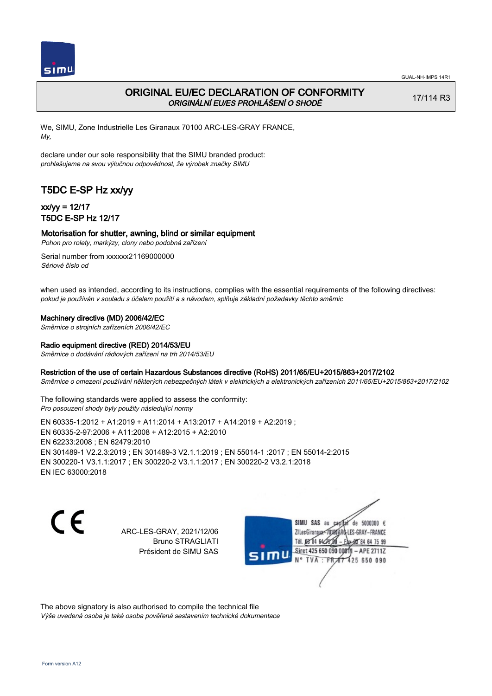

## ORIGINAL EU/EC DECLARATION OF CONFORMITY ORIGINÁLNÍ EU/ES PROHLÁŠENÍ O SHODĚ

17/114 R3

We, SIMU, Zone Industrielle Les Giranaux 70100 ARC-LES-GRAY FRANCE, My,

declare under our sole responsibility that the SIMU branded product: prohlašujeme na svou výlučnou odpovědnost, že výrobek značky SIMU

# T5DC E-SP Hz xx/yy

## xx/yy = 12/17 T5DC E-SP Hz 12/17

### Motorisation for shutter, awning, blind or similar equipment

Pohon pro rolety, markýzy, clony nebo podobná zařízení

Serial number from xxxxxx21169000000 Sériové číslo od

when used as intended, according to its instructions, complies with the essential requirements of the following directives: pokud je používán v souladu s účelem použití a s návodem, splňuje základní požadavky těchto směrnic

### Machinery directive (MD) 2006/42/EC

Směrnice o strojních zařízeních 2006/42/EC

### Radio equipment directive (RED) 2014/53/EU

Směrnice o dodávání rádiových zařízení na trh 2014/53/EU

#### Restriction of the use of certain Hazardous Substances directive (RoHS) 2011/65/EU+2015/863+2017/2102

Směrnice o omezení používání některých nebezpečných látek v elektrických a elektronických zařízeních 2011/65/EU+2015/863+2017/2102

The following standards were applied to assess the conformity: Pro posouzení shody byly použity následující normy

EN 60335‑1:2012 + A1:2019 + A11:2014 + A13:2017 + A14:2019 + A2:2019 ; EN 60335‑2‑97:2006 + A11:2008 + A12:2015 + A2:2010 EN 62233:2008 ; EN 62479:2010 EN 301489‑1 V2.2.3:2019 ; EN 301489‑3 V2.1.1:2019 ; EN 55014‑1 :2017 ; EN 55014‑2:2015 EN 300220‑1 V3.1.1:2017 ; EN 300220‑2 V3.1.1:2017 ; EN 300220‑2 V3.2.1:2018 EN IEC 63000:2018

C F

ARC-LES-GRAY, 2021/12/06 Bruno STRAGLIATI Président de SIMU SAS

de 5000000  $\epsilon$ SIMU SAS au ZI Les Giranaux</r01 LES-GRAY-FRANCE Tél. 08 R4 64 2 64 75 99 Siret 425 650 090 00811  $-$  APF 27117 125 650 090

The above signatory is also authorised to compile the technical file Výše uvedená osoba je také osoba pověřená sestavením technické dokumentace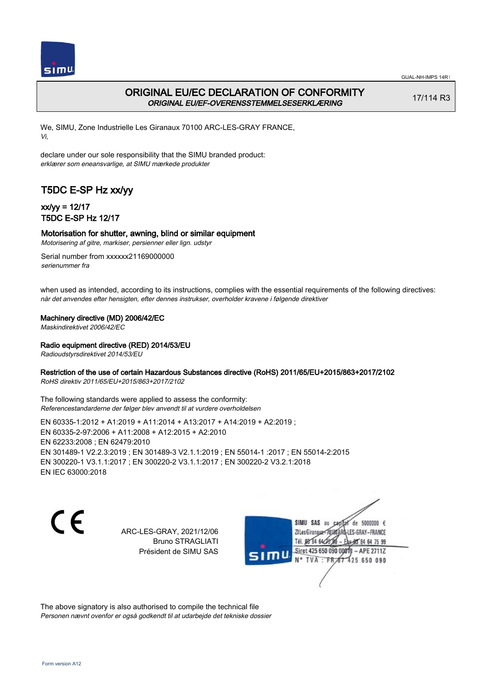

## ORIGINAL EU/EC DECLARATION OF CONFORMITY ORIGINAL EU/EF-OVERENSSTEMMELSESERKLÆRING

17/114 R3

We, SIMU, Zone Industrielle Les Giranaux 70100 ARC-LES-GRAY FRANCE, Vi,

declare under our sole responsibility that the SIMU branded product: erklærer som eneansvarlige, at SIMU mærkede produkter

# T5DC E-SP Hz xx/yy

## xx/yy = 12/17 T5DC E-SP Hz 12/17

### Motorisation for shutter, awning, blind or similar equipment

Motorisering af gitre, markiser, persienner eller lign. udstyr

Serial number from xxxxxx21169000000 serienummer fra

when used as intended, according to its instructions, complies with the essential requirements of the following directives: når det anvendes efter hensigten, efter dennes instrukser, overholder kravene i følgende direktiver

Machinery directive (MD) 2006/42/EC

Maskindirektivet 2006/42/EC

Radio equipment directive (RED) 2014/53/EU

Radioudstyrsdirektivet 2014/53/EU

### Restriction of the use of certain Hazardous Substances directive (RoHS) 2011/65/EU+2015/863+2017/2102

RoHS direktiv 2011/65/EU+2015/863+2017/2102

The following standards were applied to assess the conformity: Referencestandarderne der følger blev anvendt til at vurdere overholdelsen

EN 60335‑1:2012 + A1:2019 + A11:2014 + A13:2017 + A14:2019 + A2:2019 ; EN 60335‑2‑97:2006 + A11:2008 + A12:2015 + A2:2010 EN 62233:2008 ; EN 62479:2010 EN 301489‑1 V2.2.3:2019 ; EN 301489‑3 V2.1.1:2019 ; EN 55014‑1 :2017 ; EN 55014‑2:2015 EN 300220‑1 V3.1.1:2017 ; EN 300220‑2 V3.1.1:2017 ; EN 300220‑2 V3.2.1:2018 EN IEC 63000:2018

CE

ARC-LES-GRAY, 2021/12/06 Bruno STRAGLIATI Président de SIMU SAS

de 5000000  $\epsilon$ SIMU SAS au ZI Les Giranaux</r01 LES-GRAY-FRANCE Tél. 08 84 64 2 64 75 99 Siret 425 650 090 0081  $-$  APF 27117 **TVA FR** 125 650 090

The above signatory is also authorised to compile the technical file Personen nævnt ovenfor er også godkendt til at udarbejde det tekniske dossier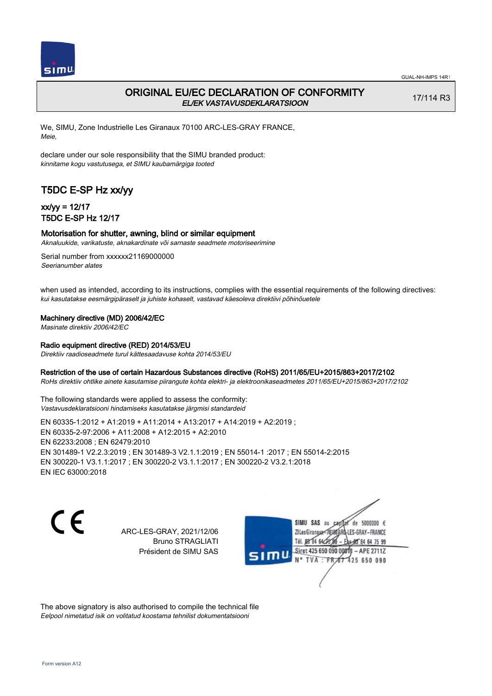

## ORIGINAL EU/EC DECLARATION OF CONFORMITY EL/EK VASTAVUSDEKLARATSIOON

17/114 R3

We, SIMU, Zone Industrielle Les Giranaux 70100 ARC-LES-GRAY FRANCE, Meie,

declare under our sole responsibility that the SIMU branded product: kinnitame kogu vastutusega, et SIMU kaubamärgiga tooted

# T5DC E-SP Hz xx/yy

## xx/yy = 12/17 T5DC E-SP Hz 12/17

### Motorisation for shutter, awning, blind or similar equipment

Aknaluukide, varikatuste, aknakardinate või sarnaste seadmete motoriseerimine

Serial number from xxxxxx21169000000 Seerianumber alates

when used as intended, according to its instructions, complies with the essential requirements of the following directives: kui kasutatakse eesmärgipäraselt ja juhiste kohaselt, vastavad käesoleva direktiivi põhinõuetele

### Machinery directive (MD) 2006/42/EC

Masinate direktiiv 2006/42/EC

#### Radio equipment directive (RED) 2014/53/EU

Direktiiv raadioseadmete turul kättesaadavuse kohta 2014/53/EU

#### Restriction of the use of certain Hazardous Substances directive (RoHS) 2011/65/EU+2015/863+2017/2102

RoHs direktiiv ohtlike ainete kasutamise piirangute kohta elektri- ja elektroonikaseadmetes 2011/65/EU+2015/863+2017/2102

The following standards were applied to assess the conformity: Vastavusdeklaratsiooni hindamiseks kasutatakse järgmisi standardeid

EN 60335‑1:2012 + A1:2019 + A11:2014 + A13:2017 + A14:2019 + A2:2019 ; EN 60335‑2‑97:2006 + A11:2008 + A12:2015 + A2:2010 EN 62233:2008 ; EN 62479:2010 EN 301489‑1 V2.2.3:2019 ; EN 301489‑3 V2.1.1:2019 ; EN 55014‑1 :2017 ; EN 55014‑2:2015 EN 300220‑1 V3.1.1:2017 ; EN 300220‑2 V3.1.1:2017 ; EN 300220‑2 V3.2.1:2018 EN IEC 63000:2018

 $\epsilon$ 

ARC-LES-GRAY, 2021/12/06 Bruno STRAGLIATI Président de SIMU SAS

de 5000000  $\epsilon$ SIMU SAS au ZI Les Giranaux< ES-GRAY-FRANCE Tél. 08 84 64 2 64 75 99 Siret 425 650 090 00811  $-$  APF 27117 125 650 090

The above signatory is also authorised to compile the technical file Eelpool nimetatud isik on volitatud koostama tehnilist dokumentatsiooni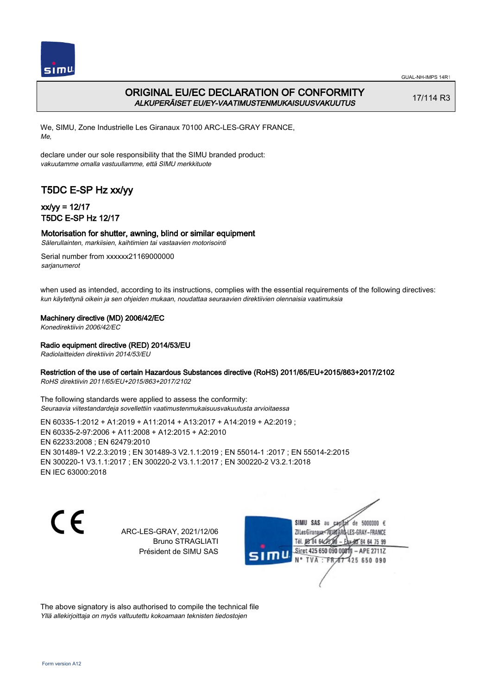

## ORIGINAL EU/EC DECLARATION OF CONFORMITY ALKUPERÄISET EU/EY-VAATIMUSTENMUKAISUUSVAKUUTUS

17/114 R3

We, SIMU, Zone Industrielle Les Giranaux 70100 ARC-LES-GRAY FRANCE, Me,

declare under our sole responsibility that the SIMU branded product: vakuutamme omalla vastuullamme, että SIMU merkkituote

# T5DC E-SP Hz xx/yy

## xx/yy = 12/17 T5DC E-SP Hz 12/17

### Motorisation for shutter, awning, blind or similar equipment

Sälerullainten, markiisien, kaihtimien tai vastaavien motorisointi

Serial number from xxxxxx21169000000 sarianumerot

when used as intended, according to its instructions, complies with the essential requirements of the following directives: kun käytettynä oikein ja sen ohjeiden mukaan, noudattaa seuraavien direktiivien olennaisia vaatimuksia

### Machinery directive (MD) 2006/42/EC

Konedirektiivin 2006/42/EC

### Radio equipment directive (RED) 2014/53/EU

Radiolaitteiden direktiivin 2014/53/EU

### Restriction of the use of certain Hazardous Substances directive (RoHS) 2011/65/EU+2015/863+2017/2102

RoHS direktiivin 2011/65/EU+2015/863+2017/2102

The following standards were applied to assess the conformity: Seuraavia viitestandardeja sovellettiin vaatimustenmukaisuusvakuutusta arvioitaessa

EN 60335‑1:2012 + A1:2019 + A11:2014 + A13:2017 + A14:2019 + A2:2019 ; EN 60335‑2‑97:2006 + A11:2008 + A12:2015 + A2:2010 EN 62233:2008 ; EN 62479:2010 EN 301489‑1 V2.2.3:2019 ; EN 301489‑3 V2.1.1:2019 ; EN 55014‑1 :2017 ; EN 55014‑2:2015 EN 300220‑1 V3.1.1:2017 ; EN 300220‑2 V3.1.1:2017 ; EN 300220‑2 V3.2.1:2018 EN IEC 63000:2018

CE

ARC-LES-GRAY, 2021/12/06 Bruno STRAGLIATI Président de SIMU SAS

SIMU SAS au de 5000000  $\epsilon$ ZI Les Giranaux< LES-GRAY-FRANCE Tél. 08 84 64 2 64 75 99 Siret 425 650 090 00811  $-$  APF 27117 125 650 090

The above signatory is also authorised to compile the technical file Yllä allekirjoittaja on myös valtuutettu kokoamaan teknisten tiedostojen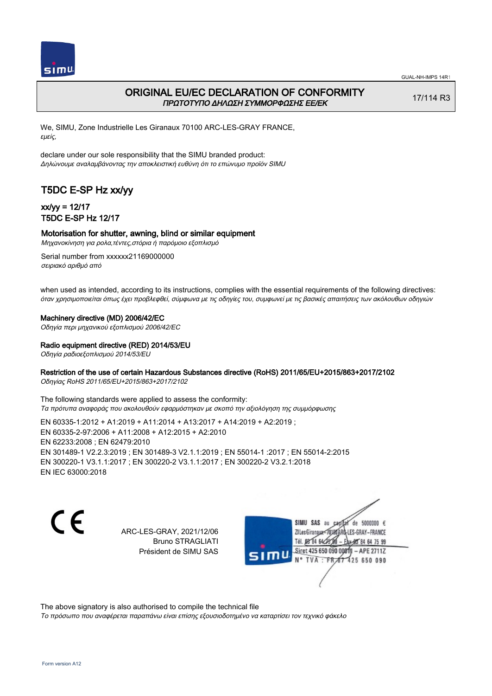

## ORIGINAL EU/EC DECLARATION OF CONFORMITY ΠΡΩΤΟΤΥΠΟ ΔΗΛΩΣΗ ΣΥΜΜΟΡΦΩΣΗΣ ΕΕ/EK

17/114 R3

We, SIMU, Zone Industrielle Les Giranaux 70100 ARC-LES-GRAY FRANCE, εμείς,

declare under our sole responsibility that the SIMU branded product: Δηλώνουμε αναλαμβάνοντας την αποκλειστική ευθύνη ότι το επώνυμο προϊόν SIMU

# T5DC E-SP Hz xx/yy

## xx/yy = 12/17 T5DC E-SP Hz 12/17

### Motorisation for shutter, awning, blind or similar equipment

Μηχανοκίνηση για ρολα,τέντες,στόρια ή παρόμοιο εξοπλισμό

Serial number from xxxxxx21169000000 σειριακό αριθμό από

when used as intended, according to its instructions, complies with the essential requirements of the following directives: όταν χρησιμοποιείται όπως έχει προβλεφθεί, σύμφωνα με τις οδηγίες του, συμφωνεί με τις βασικές απαιτήσεις των ακόλουθων οδηγιών

#### Machinery directive (MD) 2006/42/EC

Οδηγία περι μηχανικού εξοπλισμού 2006/42/EC

Radio equipment directive (RED) 2014/53/EU

Οδηγία ραδιοεξοπλισμού 2014/53/EU

### Restriction of the use of certain Hazardous Substances directive (RoHS) 2011/65/EU+2015/863+2017/2102

Οδηγίας RoHS 2011/65/EU+2015/863+2017/2102

The following standards were applied to assess the conformity: Τα πρότυπα αναφοράς που ακολουθούν εφαρμόστηκαν με σκοπό την αξιολόγηση της συμμόρφωσης

EN 60335‑1:2012 + A1:2019 + A11:2014 + A13:2017 + A14:2019 + A2:2019 ; EN 60335‑2‑97:2006 + A11:2008 + A12:2015 + A2:2010 EN 62233:2008 ; EN 62479:2010 EN 301489‑1 V2.2.3:2019 ; EN 301489‑3 V2.1.1:2019 ; EN 55014‑1 :2017 ; EN 55014‑2:2015 EN 300220‑1 V3.1.1:2017 ; EN 300220‑2 V3.1.1:2017 ; EN 300220‑2 V3.2.1:2018 EN IEC 63000:2018

C F

ARC-LES-GRAY, 2021/12/06 Bruno STRAGLIATI Président de SIMU SAS

de 5000000  $\epsilon$ SIMU SAS au ZI Les Giranaux-70180 LES-GRAY-FRANCE Tél. 08 84 64 28 8 64 75 99 Siret 425 650 090 0081  $-$  APE 2711Z 125 650 090

The above signatory is also authorised to compile the technical file

Το πρόσωπο που αναφέρεται παραπάνω είναι επίσης εξουσιοδοτημένο να καταρτίσει τον τεχνικό φάκελο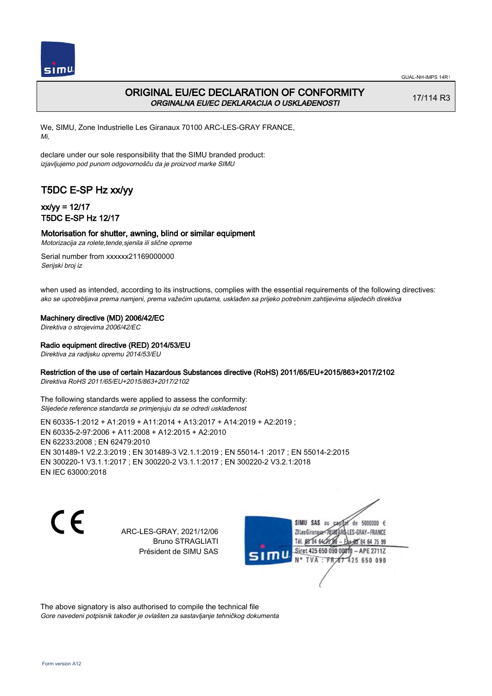

## ORIGINAL EU/EC DECLARATION OF CONFORMITY ORGINALNA EU/EC DEKLARACIJA O USKLAĐENOSTI

17/114 R3

We, SIMU, Zone Industrielle Les Giranaux 70100 ARC-LES-GRAY FRANCE, Mi,

declare under our sole responsibility that the SIMU branded product: izjavljujemo pod punom odgovornošču da je proizvod marke SIMU

# T5DC E-SP Hz xx/yy

## xx/yy = 12/17 T5DC E-SP Hz 12/17

### Motorisation for shutter, awning, blind or similar equipment

Motorizacija za rolete,tende,sjenila ili slične opreme

Serial number from xxxxxx21169000000 Serijski broj iz

when used as intended, according to its instructions, complies with the essential requirements of the following directives: ako se upotrebljava prema namjeni, prema važećim uputama, usklađen sa prijeko potrebnim zahtijevima slijedećih direktiva

Machinery directive (MD) 2006/42/EC

Direktiva o strojevima 2006/42/EC

Radio equipment directive (RED) 2014/53/EU

Direktiva za radijsku opremu 2014/53/EU

### Restriction of the use of certain Hazardous Substances directive (RoHS) 2011/65/EU+2015/863+2017/2102

Direktiva RoHS 2011/65/EU+2015/863+2017/2102

The following standards were applied to assess the conformity: Slijedeće reference standarda se primjenjuju da se odredi usklađenost

EN 60335‑1:2012 + A1:2019 + A11:2014 + A13:2017 + A14:2019 + A2:2019 ; EN 60335‑2‑97:2006 + A11:2008 + A12:2015 + A2:2010 EN 62233:2008 ; EN 62479:2010 EN 301489‑1 V2.2.3:2019 ; EN 301489‑3 V2.1.1:2019 ; EN 55014‑1 :2017 ; EN 55014‑2:2015 EN 300220‑1 V3.1.1:2017 ; EN 300220‑2 V3.1.1:2017 ; EN 300220‑2 V3.2.1:2018 EN IEC 63000:2018

C F

ARC-LES-GRAY, 2021/12/06 Bruno STRAGLIATI Président de SIMU SAS

de 5000000  $\epsilon$ SIMU SAS au ZI Les Giranaux</r01 LES-GRAY-FRANCE Tél. 08 R4 64 2 64 75 99 Siret 425 650 090 0081  $-$  APF 27117 125 650 090  $\overline{F}$ <sub>FR</sub>

The above signatory is also authorised to compile the technical file Gore navedeni potpisnik također je ovlašten za sastavljanje tehničkog dokumenta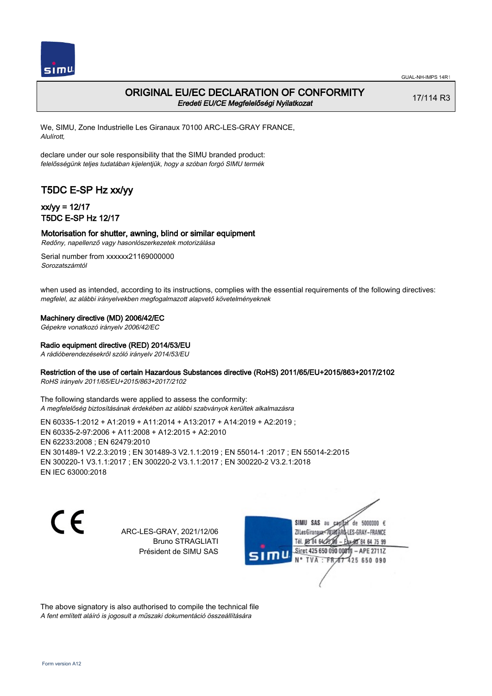

### ORIGINAL EU/EC DECLARATION OF CONFORMITY Eredeti EU/CE Megfelelőségi Nyilatkozat

17/114 R3

We, SIMU, Zone Industrielle Les Giranaux 70100 ARC-LES-GRAY FRANCE, Alulírott,

declare under our sole responsibility that the SIMU branded product: felelősségünk teljes tudatában kijelentjük, hogy a szóban forgó SIMU termék

# T5DC E-SP Hz xx/yy

## xx/yy = 12/17 T5DC E-SP Hz 12/17

#### Motorisation for shutter, awning, blind or similar equipment Redőny, napellenző vagy hasonlószerkezetek motorizálása

Serial number from xxxxxx21169000000

Sorozatszámtól

when used as intended, according to its instructions, complies with the essential requirements of the following directives: megfelel, az alábbi irányelvekben megfogalmazott alapvető követelményeknek

### Machinery directive (MD) 2006/42/EC

Gépekre vonatkozó irányelv 2006/42/EC

### Radio equipment directive (RED) 2014/53/EU

A rádióberendezésekről szóló irányelv 2014/53/EU

### Restriction of the use of certain Hazardous Substances directive (RoHS) 2011/65/EU+2015/863+2017/2102

RoHS irányelv 2011/65/EU+2015/863+2017/2102

The following standards were applied to assess the conformity: A megfelelőség biztosításának érdekében az alábbi szabványok kerültek alkalmazásra

EN 60335‑1:2012 + A1:2019 + A11:2014 + A13:2017 + A14:2019 + A2:2019 ; EN 60335‑2‑97:2006 + A11:2008 + A12:2015 + A2:2010 EN 62233:2008 ; EN 62479:2010 EN 301489‑1 V2.2.3:2019 ; EN 301489‑3 V2.1.1:2019 ; EN 55014‑1 :2017 ; EN 55014‑2:2015 EN 300220‑1 V3.1.1:2017 ; EN 300220‑2 V3.1.1:2017 ; EN 300220‑2 V3.2.1:2018 EN IEC 63000:2018

C F

ARC-LES-GRAY, 2021/12/06 Bruno STRAGLIATI Président de SIMU SAS

de 5000000  $\epsilon$ SIMU SAS au ZI Les Giranaux</01 LES-GRAY-FRANCE Tél. 08 R4 64 2 64 75 99 Siret 425 650 090 00811  $-$  APF 27117 125 650 090

The above signatory is also authorised to compile the technical file A fent említett aláíró is jogosult a műszaki dokumentáció összeállítására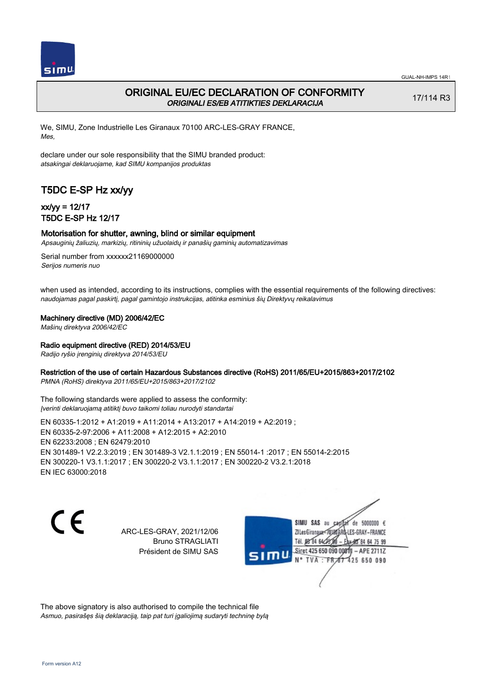

## ORIGINAL EU/EC DECLARATION OF CONFORMITY ORIGINALI ES/EB ATITIKTIES DEKLARACIJA

17/114 R3

We, SIMU, Zone Industrielle Les Giranaux 70100 ARC-LES-GRAY FRANCE, Mes,

declare under our sole responsibility that the SIMU branded product: atsakingai deklaruojame, kad SIMU kompanijos produktas

# T5DC E-SP Hz xx/yy

## xx/yy = 12/17 T5DC E-SP Hz 12/17

### Motorisation for shutter, awning, blind or similar equipment

Apsauginių žaliuzių, markizių, ritininių užuolaidų ir panašių gaminių automatizavimas

Serial number from xxxxxx21169000000 Serijos numeris nuo

when used as intended, according to its instructions, complies with the essential requirements of the following directives: naudojamas pagal paskirtį, pagal gamintojo instrukcijas, atitinka esminius šių Direktyvų reikalavimus

Machinery directive (MD) 2006/42/EC

Mašinų direktyva 2006/42/EC

### Radio equipment directive (RED) 2014/53/EU

Radijo ryšio įrenginių direktyva 2014/53/EU

### Restriction of the use of certain Hazardous Substances directive (RoHS) 2011/65/EU+2015/863+2017/2102

PMNA (RoHS) direktyva 2011/65/EU+2015/863+2017/2102

The following standards were applied to assess the conformity: Įverinti deklaruojamą atitiktį buvo taikomi toliau nurodyti standartai

EN 60335‑1:2012 + A1:2019 + A11:2014 + A13:2017 + A14:2019 + A2:2019 ; EN 60335‑2‑97:2006 + A11:2008 + A12:2015 + A2:2010 EN 62233:2008 ; EN 62479:2010 EN 301489‑1 V2.2.3:2019 ; EN 301489‑3 V2.1.1:2019 ; EN 55014‑1 :2017 ; EN 55014‑2:2015 EN 300220‑1 V3.1.1:2017 ; EN 300220‑2 V3.1.1:2017 ; EN 300220‑2 V3.2.1:2018 EN IEC 63000:2018

C F

ARC-LES-GRAY, 2021/12/06 Bruno STRAGLIATI Président de SIMU SAS

SIMU SAS au de 5000000  $\epsilon$ ZI Les Giranaux-70180 LES-GRAY-FRANCE Tél. 08 84 64 28 64 75 99 Siret 425 650 090 0081  $-$  APF 27117 **TVA FR** 125 650 090

The above signatory is also authorised to compile the technical file Asmuo, pasirašęs šią deklaraciją, taip pat turi įgaliojimą sudaryti techninę bylą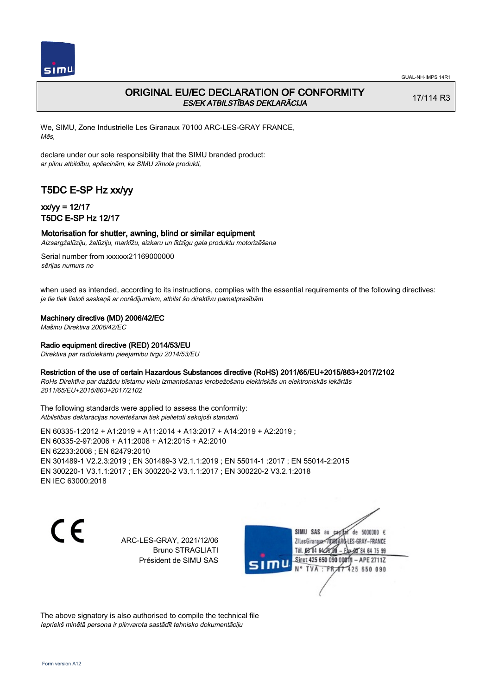

## ORIGINAL EU/EC DECLARATION OF CONFORMITY ES/EK ATBILSTĪBAS DEKLARĀCIJA

17/114 R3

We, SIMU, Zone Industrielle Les Giranaux 70100 ARC-LES-GRAY FRANCE, Mēs,

declare under our sole responsibility that the SIMU branded product: ar pilnu atbildību, apliecinām, ka SIMU zīmola produkti,

# T5DC E-SP Hz xx/yy

## xx/yy = 12/17 T5DC E-SP Hz 12/17

### Motorisation for shutter, awning, blind or similar equipment

Aizsargžalūziju, žalūziju, markīžu, aizkaru un līdzīgu gala produktu motorizēšana

Serial number from xxxxxx21169000000 sērijas numurs no

when used as intended, according to its instructions, complies with the essential requirements of the following directives: ja tie tiek lietoti saskaņā ar norādījumiem, atbilst šo direktīvu pamatprasībām

#### Machinery directive (MD) 2006/42/EC

Mašīnu Direktīva 2006/42/EC

#### Radio equipment directive (RED) 2014/53/EU

Direktīva par radioiekārtu pieejamību tirgū 2014/53/EU

### Restriction of the use of certain Hazardous Substances directive (RoHS) 2011/65/EU+2015/863+2017/2102

RoHs Direktīva par dažādu bīstamu vielu izmantošanas ierobežošanu elektriskās un elektroniskās iekārtās 2011/65/EU+2015/863+2017/2102

The following standards were applied to assess the conformity: Atbilstības deklarācijas novērtēšanai tiek pielietoti sekojoši standarti

EN 60335‑1:2012 + A1:2019 + A11:2014 + A13:2017 + A14:2019 + A2:2019 ; EN 60335‑2‑97:2006 + A11:2008 + A12:2015 + A2:2010 EN 62233:2008 ; EN 62479:2010 EN 301489‑1 V2.2.3:2019 ; EN 301489‑3 V2.1.1:2019 ; EN 55014‑1 :2017 ; EN 55014‑2:2015 EN 300220‑1 V3.1.1:2017 ; EN 300220‑2 V3.1.1:2017 ; EN 300220‑2 V3.2.1:2018 EN IEC 63000:2018

 $\epsilon$ 

ARC-LES-GRAY, 2021/12/06 Bruno STRAGLIATI Président de SIMU SAS



The above signatory is also authorised to compile the technical file Iepriekš minētā persona ir pilnvarota sastādīt tehnisko dokumentāciju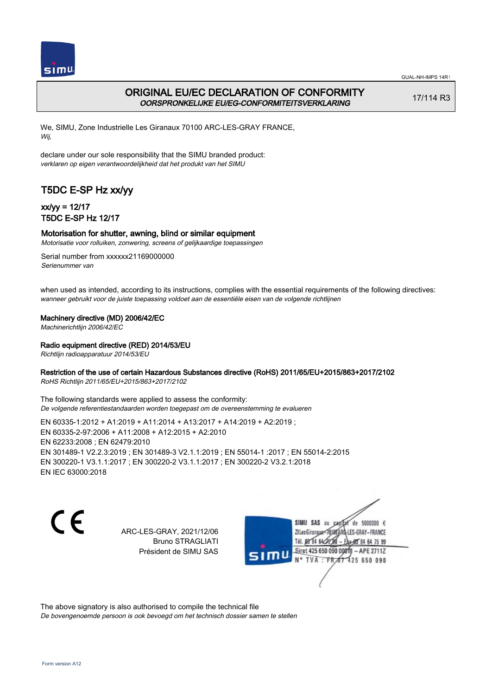

## ORIGINAL EU/EC DECLARATION OF CONFORMITY OORSPRONKELIJKE EU/EG-CONFORMITEITSVERKLARING

17/114 R3

We, SIMU, Zone Industrielle Les Giranaux 70100 ARC-LES-GRAY FRANCE, Wij,

declare under our sole responsibility that the SIMU branded product: verklaren op eigen verantwoordelijkheid dat het produkt van het SIMU

# T5DC E-SP Hz xx/yy

## xx/yy = 12/17 T5DC E-SP Hz 12/17

### Motorisation for shutter, awning, blind or similar equipment

Motorisatie voor rolluiken, zonwering, screens of gelijkaardige toepassingen

Serial number from xxxxxx21169000000 Serienummer van

when used as intended, according to its instructions, complies with the essential requirements of the following directives: wanneer gebruikt voor de juiste toepassing voldoet aan de essentiële eisen van de volgende richtlijnen

### Machinery directive (MD) 2006/42/EC

Machinerichtlijn 2006/42/EC

#### Radio equipment directive (RED) 2014/53/EU

Richtlijn radioapparatuur 2014/53/EU

### Restriction of the use of certain Hazardous Substances directive (RoHS) 2011/65/EU+2015/863+2017/2102

RoHS Richtlijn 2011/65/EU+2015/863+2017/2102

The following standards were applied to assess the conformity: De volgende referentiestandaarden worden toegepast om de overeenstemming te evalueren

EN 60335‑1:2012 + A1:2019 + A11:2014 + A13:2017 + A14:2019 + A2:2019 ; EN 60335‑2‑97:2006 + A11:2008 + A12:2015 + A2:2010 EN 62233:2008 ; EN 62479:2010 EN 301489‑1 V2.2.3:2019 ; EN 301489‑3 V2.1.1:2019 ; EN 55014‑1 :2017 ; EN 55014‑2:2015 EN 300220‑1 V3.1.1:2017 ; EN 300220‑2 V3.1.1:2017 ; EN 300220‑2 V3.2.1:2018 EN IEC 63000:2018

C F

ARC-LES-GRAY, 2021/12/06 Bruno STRAGLIATI Président de SIMU SAS

de 5000000  $\epsilon$ SIMU SAS au ZI Les Giranaux</D LES-GRAY-FRANCE Tél. 08 R4 64 2 64 75 99 Siret 425 650 090 00811  $-$  APF 27117 125 650 090

The above signatory is also authorised to compile the technical file De bovengenoemde persoon is ook bevoegd om het technisch dossier samen te stellen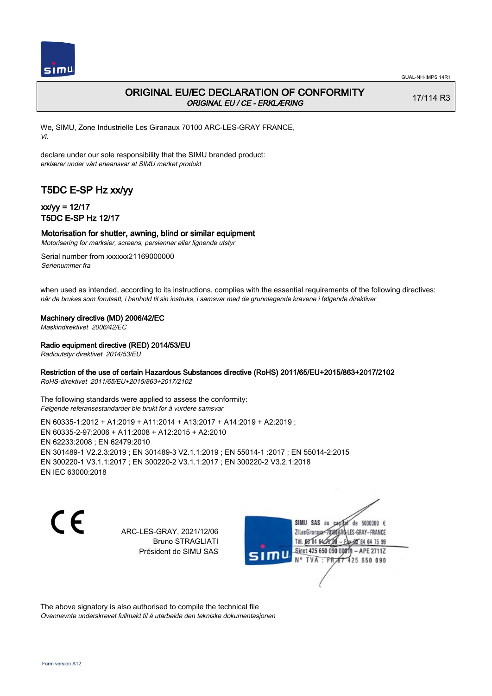

## ORIGINAL EU/EC DECLARATION OF CONFORMITY ORIGINAL EU / CE - ERKLÆRING

17/114 R3

We, SIMU, Zone Industrielle Les Giranaux 70100 ARC-LES-GRAY FRANCE, Vi,

declare under our sole responsibility that the SIMU branded product: erklærer under vårt eneansvar at SIMU merket produkt

# T5DC E-SP Hz xx/yy

## xx/yy = 12/17 T5DC E-SP Hz 12/17

### Motorisation for shutter, awning, blind or similar equipment

Motorisering for marksier, screens, persienner eller lignende utstyr

Serial number from xxxxxx21169000000 Serienummer fra

when used as intended, according to its instructions, complies with the essential requirements of the following directives: når de brukes som forutsatt, i henhold til sin instruks, i samsvar med de grunnlegende kravene i følgende direktiver

Machinery directive (MD) 2006/42/EC

Maskindirektivet 2006/42/EC

Radio equipment directive (RED) 2014/53/EU

Radioutstyr direktivet 2014/53/EU

### Restriction of the use of certain Hazardous Substances directive (RoHS) 2011/65/EU+2015/863+2017/2102

RoHS-direktivet 2011/65/EU+2015/863+2017/2102

The following standards were applied to assess the conformity: Følgende referansestandarder ble brukt for å vurdere samsvar

EN 60335‑1:2012 + A1:2019 + A11:2014 + A13:2017 + A14:2019 + A2:2019 ; EN 60335‑2‑97:2006 + A11:2008 + A12:2015 + A2:2010 EN 62233:2008 ; EN 62479:2010 EN 301489‑1 V2.2.3:2019 ; EN 301489‑3 V2.1.1:2019 ; EN 55014‑1 :2017 ; EN 55014‑2:2015 EN 300220‑1 V3.1.1:2017 ; EN 300220‑2 V3.1.1:2017 ; EN 300220‑2 V3.2.1:2018 EN IEC 63000:2018

CE

ARC-LES-GRAY, 2021/12/06 Bruno STRAGLIATI Président de SIMU SAS

SIMU SAS au de 5000000  $\epsilon$ ZI Les Giranaux< LES-GRAY-FRANCE Tél. 08 84 64 2 64 75 99 Siret 425 650 090 0081  $-$  APF 27117 125 650 090  $\overline{F}$ <sub>FR</sub>

The above signatory is also authorised to compile the technical file Ovennevnte underskrevet fullmakt til å utarbeide den tekniske dokumentasjonen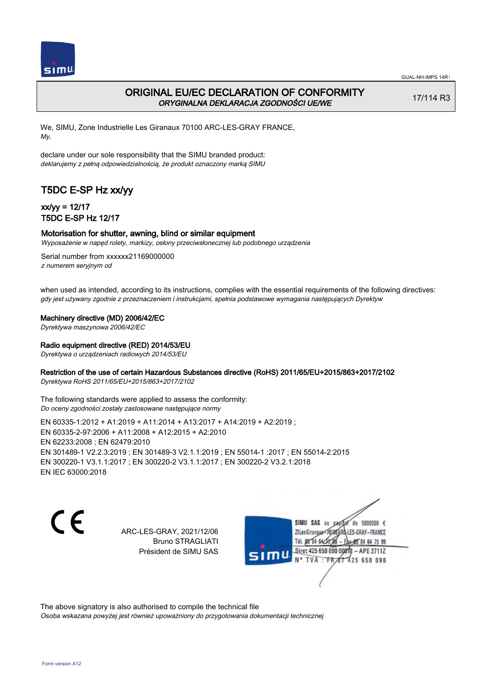

## ORIGINAL EU/EC DECLARATION OF CONFORMITY ORYGINALNA DEKLARACJA ZGODNOŚCI UE/WE

17/114 R3

We, SIMU, Zone Industrielle Les Giranaux 70100 ARC-LES-GRAY FRANCE, My,

declare under our sole responsibility that the SIMU branded product: deklarujemy z pełną odpowiedzialnością, że produkt oznaczony marką SIMU

# T5DC E-SP Hz xx/yy

## xx/yy = 12/17 T5DC E-SP Hz 12/17

#### Motorisation for shutter, awning, blind or similar equipment

Wyposażenie w napęd rolety, markizy, osłony przeciwsłonecznej lub podobnego urządzenia

Serial number from xxxxxx21169000000 z numerem seryjnym od

when used as intended, according to its instructions, complies with the essential requirements of the following directives: gdy jest używany zgodnie z przeznaczeniem i instrukcjami, spełnia podstawowe wymagania następujących Dyrektyw

Machinery directive (MD) 2006/42/EC

Dyrektywa maszynowa 2006/42/EC

#### Radio equipment directive (RED) 2014/53/EU

Dyrektywa o urządzeniach radiowych 2014/53/EU

### Restriction of the use of certain Hazardous Substances directive (RoHS) 2011/65/EU+2015/863+2017/2102

Dyrektywa RoHS 2011/65/EU+2015/863+2017/2102

The following standards were applied to assess the conformity: Do oceny zgodności zostały zastosowane następujące normy

EN 60335‑1:2012 + A1:2019 + A11:2014 + A13:2017 + A14:2019 + A2:2019 ; EN 60335‑2‑97:2006 + A11:2008 + A12:2015 + A2:2010 EN 62233:2008 ; EN 62479:2010 EN 301489‑1 V2.2.3:2019 ; EN 301489‑3 V2.1.1:2019 ; EN 55014‑1 :2017 ; EN 55014‑2:2015 EN 300220‑1 V3.1.1:2017 ; EN 300220‑2 V3.1.1:2017 ; EN 300220‑2 V3.2.1:2018 EN IEC 63000:2018

C F

ARC-LES-GRAY, 2021/12/06 Bruno STRAGLIATI Président de SIMU SAS

de 5000000  $\epsilon$ SIMU SAS au ZI Les Giranaux-70180 LES-GRAY-FRANCE Tél. 08 R4 64 24 64 75 99 Siret 425 650 090 00811  $-$  APF 27117 125 650 090

The above signatory is also authorised to compile the technical file Osoba wskazana powyżej jest również upoważniony do przygotowania dokumentacji technicznej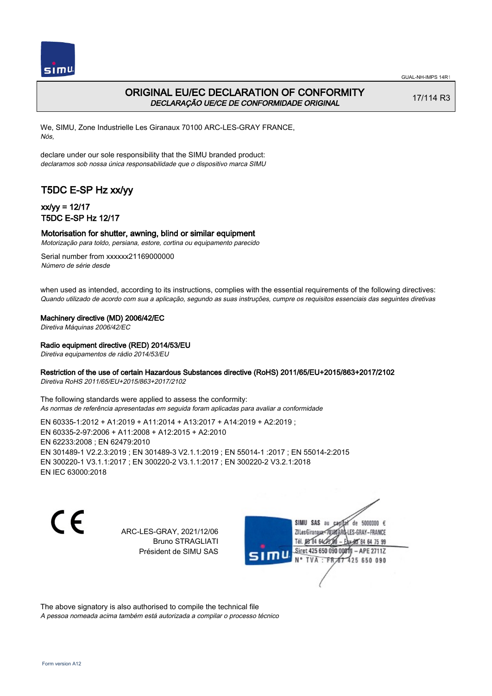

## ORIGINAL EU/EC DECLARATION OF CONFORMITY DECLARAÇÃO UE/CE DE CONFORMIDADE ORIGINAL

17/114 R3

We, SIMU, Zone Industrielle Les Giranaux 70100 ARC-LES-GRAY FRANCE, Nós,

declare under our sole responsibility that the SIMU branded product: declaramos sob nossa única responsabilidade que o dispositivo marca SIMU

# T5DC E-SP Hz xx/yy

## xx/yy = 12/17 T5DC E-SP Hz 12/17

#### Motorisation for shutter, awning, blind or similar equipment

Motorização para toldo, persiana, estore, cortina ou equipamento parecido

Serial number from xxxxxx21169000000 Número de série desde

when used as intended, according to its instructions, complies with the essential requirements of the following directives: Quando utilizado de acordo com sua a aplicação, segundo as suas instruções, cumpre os requisitos essenciais das seguintes diretivas

Machinery directive (MD) 2006/42/EC

Diretiva Máquinas 2006/42/EC

### Radio equipment directive (RED) 2014/53/EU

Diretiva equipamentos de rádio 2014/53/EU

### Restriction of the use of certain Hazardous Substances directive (RoHS) 2011/65/EU+2015/863+2017/2102

Diretiva RoHS 2011/65/EU+2015/863+2017/2102

The following standards were applied to assess the conformity: As normas de referência apresentadas em seguida foram aplicadas para avaliar a conformidade

EN 60335‑1:2012 + A1:2019 + A11:2014 + A13:2017 + A14:2019 + A2:2019 ; EN 60335‑2‑97:2006 + A11:2008 + A12:2015 + A2:2010 EN 62233:2008 ; EN 62479:2010 EN 301489‑1 V2.2.3:2019 ; EN 301489‑3 V2.1.1:2019 ; EN 55014‑1 :2017 ; EN 55014‑2:2015 EN 300220‑1 V3.1.1:2017 ; EN 300220‑2 V3.1.1:2017 ; EN 300220‑2 V3.2.1:2018 EN IEC 63000:2018

C F

ARC-LES-GRAY, 2021/12/06 Bruno STRAGLIATI Président de SIMU SAS

de 5000000  $\epsilon$ SIMU SAS au ZI Les Giranaux< ES-GRAY-FRANCE Tél. 08 84 64 2 64 75 99 Siret 425 650 090 00811  $-$  APF 27117 125 650 090

The above signatory is also authorised to compile the technical file A pessoa nomeada acima também está autorizada a compilar o processo técnico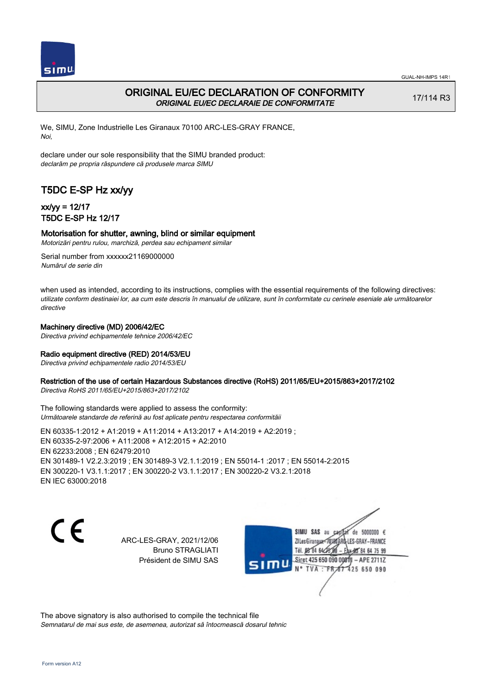

## ORIGINAL EU/EC DECLARATION OF CONFORMITY ORIGINAL EU/EC DECLARAIE DE CONFORMITATE

17/114 R3

We, SIMU, Zone Industrielle Les Giranaux 70100 ARC-LES-GRAY FRANCE, Noi,

declare under our sole responsibility that the SIMU branded product: declarăm pe propria răspundere că produsele marca SIMU

# T5DC E-SP Hz xx/yy

## xx/yy = 12/17 T5DC E-SP Hz 12/17

### Motorisation for shutter, awning, blind or similar equipment

Motorizări pentru rulou, marchiză, perdea sau echipament similar

Serial number from xxxxxx21169000000 Numărul de serie din

when used as intended, according to its instructions, complies with the essential requirements of the following directives: utilizate conform destinaiei lor, aa cum este descris în manualul de utilizare, sunt în conformitate cu cerinele eseniale ale următoarelor directive

### Machinery directive (MD) 2006/42/EC

Directiva privind echipamentele tehnice 2006/42/EC

### Radio equipment directive (RED) 2014/53/EU

Directiva privind echipamentele radio 2014/53/EU

### Restriction of the use of certain Hazardous Substances directive (RoHS) 2011/65/EU+2015/863+2017/2102

Directiva RoHS 2011/65/EU+2015/863+2017/2102

The following standards were applied to assess the conformity: Următoarele standarde de referină au fost aplicate pentru respectarea conformităii

EN 60335‑1:2012 + A1:2019 + A11:2014 + A13:2017 + A14:2019 + A2:2019 ; EN 60335‑2‑97:2006 + A11:2008 + A12:2015 + A2:2010 EN 62233:2008 ; EN 62479:2010 EN 301489‑1 V2.2.3:2019 ; EN 301489‑3 V2.1.1:2019 ; EN 55014‑1 :2017 ; EN 55014‑2:2015 EN 300220‑1 V3.1.1:2017 ; EN 300220‑2 V3.1.1:2017 ; EN 300220‑2 V3.2.1:2018 EN IEC 63000:2018

 $\epsilon$ 

ARC-LES-GRAY, 2021/12/06 Bruno STRAGLIATI Président de SIMU SAS



The above signatory is also authorised to compile the technical file Semnatarul de mai sus este, de asemenea, autorizat să întocmească dosarul tehnic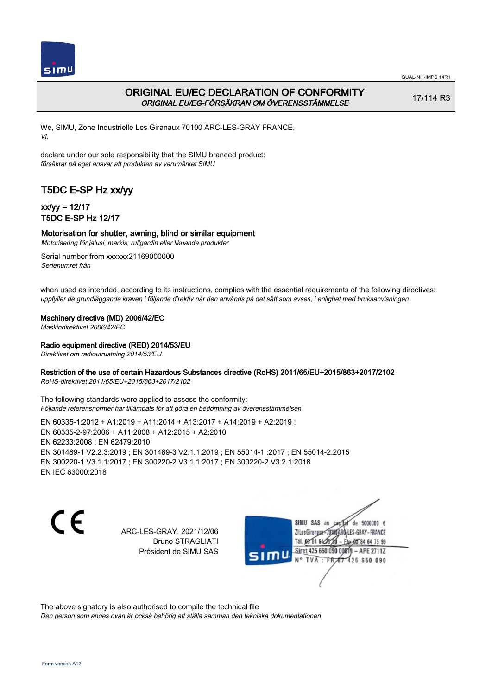

## ORIGINAL EU/EC DECLARATION OF CONFORMITY ORIGINAL EU/EG-FÖRSÄKRAN OM ÖVERENSSTÄMMELSE

17/114 R3

We, SIMU, Zone Industrielle Les Giranaux 70100 ARC-LES-GRAY FRANCE, Vi,

declare under our sole responsibility that the SIMU branded product: försäkrar på eget ansvar att produkten av varumärket SIMU

# T5DC E-SP Hz xx/yy

## xx/yy = 12/17 T5DC E-SP Hz 12/17

### Motorisation for shutter, awning, blind or similar equipment

Motorisering för jalusi, markis, rullgardin eller liknande produkter

Serial number from xxxxxx21169000000 Serienumret från

when used as intended, according to its instructions, complies with the essential requirements of the following directives: uppfyller de grundläggande kraven i följande direktiv när den används på det sätt som avses, i enlighet med bruksanvisningen

### Machinery directive (MD) 2006/42/EC

Maskindirektivet 2006/42/EC

### Radio equipment directive (RED) 2014/53/EU

Direktivet om radioutrustning 2014/53/EU

### Restriction of the use of certain Hazardous Substances directive (RoHS) 2011/65/EU+2015/863+2017/2102

RoHS-direktivet 2011/65/EU+2015/863+2017/2102

The following standards were applied to assess the conformity: Följande referensnormer har tillämpats för att göra en bedömning av överensstämmelsen

EN 60335‑1:2012 + A1:2019 + A11:2014 + A13:2017 + A14:2019 + A2:2019 ; EN 60335‑2‑97:2006 + A11:2008 + A12:2015 + A2:2010 EN 62233:2008 ; EN 62479:2010 EN 301489‑1 V2.2.3:2019 ; EN 301489‑3 V2.1.1:2019 ; EN 55014‑1 :2017 ; EN 55014‑2:2015 EN 300220‑1 V3.1.1:2017 ; EN 300220‑2 V3.1.1:2017 ; EN 300220‑2 V3.2.1:2018 EN IEC 63000:2018

 $\epsilon$ 

ARC-LES-GRAY, 2021/12/06 Bruno STRAGLIATI Président de SIMU SAS

de 5000000  $\epsilon$ SIMU SAS au ZI Les Giranaux< ES-GRAY-FRANCE Tél. 08 84 64 2 64 75 99 Siret 425 650 090 00811  $-$  APF 27117 125 650 090

The above signatory is also authorised to compile the technical file

Den person som anges ovan är också behörig att ställa samman den tekniska dokumentationen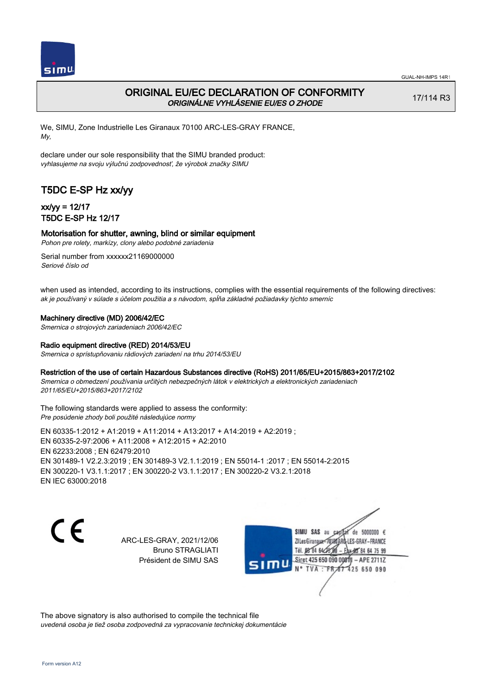

## ORIGINAL EU/EC DECLARATION OF CONFORMITY ORIGINÁLNE VYHLÁSENIE EU/ES O ZHODE

17/114 R3

We, SIMU, Zone Industrielle Les Giranaux 70100 ARC-LES-GRAY FRANCE, My,

declare under our sole responsibility that the SIMU branded product: vyhlasujeme na svoju výlučnú zodpovednosť, že výrobok značky SIMU

# T5DC E-SP Hz xx/yy

## xx/yy = 12/17 T5DC E-SP Hz 12/17

### Motorisation for shutter, awning, blind or similar equipment

Pohon pre rolety, markízy, clony alebo podobné zariadenia

Serial number from xxxxxx21169000000 Seriové číslo od

when used as intended, according to its instructions, complies with the essential requirements of the following directives: ak je používaný v súlade s účelom použitia a s návodom, spĺňa základné požiadavky týchto smerníc

### Machinery directive (MD) 2006/42/EC

Smernica o strojových zariadeniach 2006/42/EC

#### Radio equipment directive (RED) 2014/53/EU

Smernica o sprístupňovaniu rádiových zariadení na trhu 2014/53/EU

### Restriction of the use of certain Hazardous Substances directive (RoHS) 2011/65/EU+2015/863+2017/2102

Smernica o obmedzení používania určitých nebezpečných látok v elektrických a elektronických zariadeniach 2011/65/EU+2015/863+2017/2102

#### The following standards were applied to assess the conformity: Pre posúdenie zhody boli použité následujúce normy

EN 60335‑1:2012 + A1:2019 + A11:2014 + A13:2017 + A14:2019 + A2:2019 ; EN 60335‑2‑97:2006 + A11:2008 + A12:2015 + A2:2010 EN 62233:2008 ; EN 62479:2010 EN 301489‑1 V2.2.3:2019 ; EN 301489‑3 V2.1.1:2019 ; EN 55014‑1 :2017 ; EN 55014‑2:2015 EN 300220‑1 V3.1.1:2017 ; EN 300220‑2 V3.1.1:2017 ; EN 300220‑2 V3.2.1:2018 EN IEC 63000:2018

 $\epsilon$ 

ARC-LES-GRAY, 2021/12/06 Bruno STRAGLIATI Président de SIMU SAS



The above signatory is also authorised to compile the technical file uvedená osoba je tiež osoba zodpovedná za vypracovanie technickej dokumentácie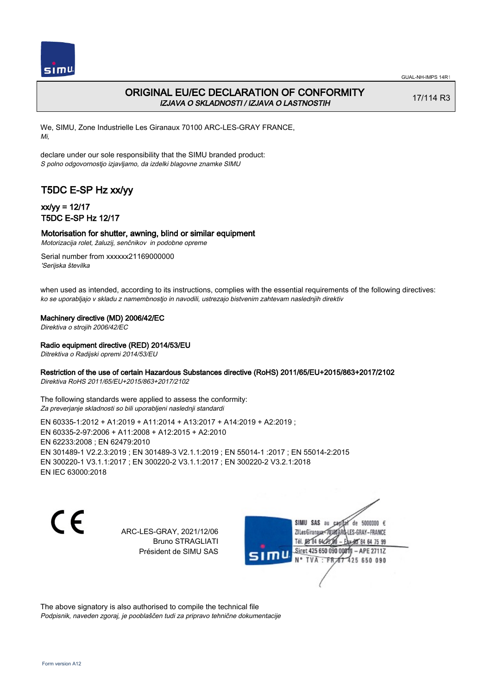

## ORIGINAL EU/EC DECLARATION OF CONFORMITY IZJAVA O SKLADNOSTI / IZJAVA O LASTNOSTIH

17/114 R3

We, SIMU, Zone Industrielle Les Giranaux 70100 ARC-LES-GRAY FRANCE, Mi,

declare under our sole responsibility that the SIMU branded product: S polno odgovornostjo izjavljamo, da izdelki blagovne znamke SIMU

# T5DC E-SP Hz xx/yy

## xx/yy = 12/17 T5DC E-SP Hz 12/17

### Motorisation for shutter, awning, blind or similar equipment

Motorizacija rolet, žaluzij, senčnikov in podobne opreme

Serial number from xxxxxx21169000000 'Serijska številka

when used as intended, according to its instructions, complies with the essential requirements of the following directives: ko se uporabljajo v skladu z namembnostjo in navodili, ustrezajo bistvenim zahtevam naslednjih direktiv

### Machinery directive (MD) 2006/42/EC

Direktiva o strojih 2006/42/EC

### Radio equipment directive (RED) 2014/53/EU

Ditrektiva o Radijski opremi 2014/53/EU

### Restriction of the use of certain Hazardous Substances directive (RoHS) 2011/65/EU+2015/863+2017/2102

Direktiva RoHS 2011/65/EU+2015/863+2017/2102

The following standards were applied to assess the conformity: Za preverjanje skladnosti so bili uporabljeni naslednji standardi

EN 60335‑1:2012 + A1:2019 + A11:2014 + A13:2017 + A14:2019 + A2:2019 ; EN 60335‑2‑97:2006 + A11:2008 + A12:2015 + A2:2010 EN 62233:2008 ; EN 62479:2010 EN 301489‑1 V2.2.3:2019 ; EN 301489‑3 V2.1.1:2019 ; EN 55014‑1 :2017 ; EN 55014‑2:2015 EN 300220‑1 V3.1.1:2017 ; EN 300220‑2 V3.1.1:2017 ; EN 300220‑2 V3.2.1:2018 EN IEC 63000:2018

C F

ARC-LES-GRAY, 2021/12/06 Bruno STRAGLIATI Président de SIMU SAS

SIMU SAS au de 5000000  $\epsilon$ ZI Les Giranaux-70180 LES-GRAY-FRANCE Tél. 08 R4 64 2 64 75 99 Siret 425 650 090 0081  $-$  APF 27117 125 650 090  $\overline{F}$ <sub>FR</sub>

The above signatory is also authorised to compile the technical file Podpisnik, naveden zgoraj, je pooblaščen tudi za pripravo tehnične dokumentacije